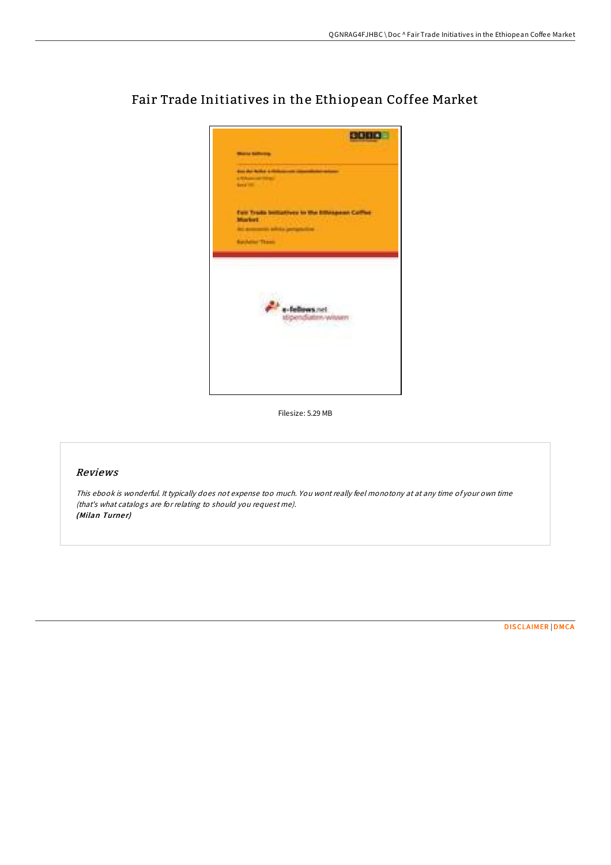

Fair Trade Initiatives in the Ethiopean Coffee Market

Filesize: 5.29 MB

## Reviews

This ebook is wonderful. It typically does not expense too much. You wont really feel monotony at at any time of your own time (that's what catalogs are for relating to should you request me). (Milan Turner)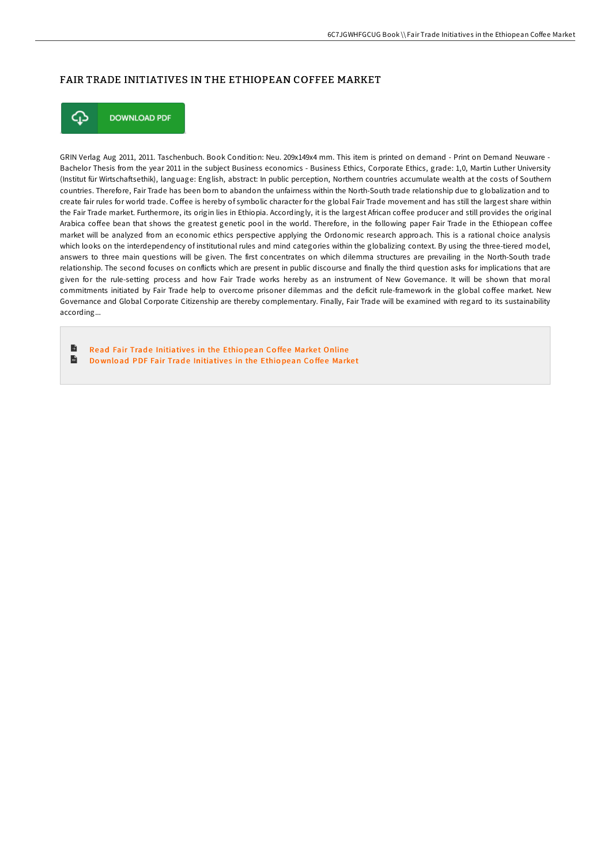## FAIR TRADE INITIATIVES IN THE ETHIOPEAN COFFEE MARKET



**DOWNLOAD PDF** 

GRIN Verlag Aug 2011, 2011. Taschenbuch. Book Condition: Neu. 209x149x4 mm. This item is printed on demand - Print on Demand Neuware - Bachelor Thesis from the year 2011 in the subject Business economics - Business Ethics, Corporate Ethics, grade: 1,0, Martin Luther University (Institut für Wirtschaftsethik), language: English, abstract: In public perception, Northern countries accumulate wealth at the costs of Southern countries. Therefore, Fair Trade has been born to abandon the unfairness within the North-South trade relationship due to globalization and to create fair rules for world trade. Coffee is hereby of symbolic character for the global Fair Trade movement and has still the largest share within the Fair Trade market. Furthermore, its origin lies in Ethiopia. Accordingly, it is the largest African coFee producer and still provides the original Arabica coffee bean that shows the greatest genetic pool in the world. Therefore, in the following paper Fair Trade in the Ethiopean coffee market will be analyzed from an economic ethics perspective applying the Ordonomic research approach. This is a rational choice analysis which looks on the interdependency of institutional rules and mind categories within the globalizing context. By using the three-tiered model, answers to three main questions will be given. The first concentrates on which dilemma structures are prevailing in the North-South trade relationship. The second focuses on conflicts which are present in public discourse and finally the third question asks for implications that are given for the rule-setting process and how Fair Trade works hereby as an instrument of New Governance. It will be shown that moral commitments initiated by Fair Trade help to overcome prisoner dilemmas and the deficit rule-framework in the global coffee market. New Governance and Global Corporate Citizenship are thereby complementary. Finally, Fair Trade will be examined with regard to its sustainability according...

B Read Fair Trade [Initiative](http://almighty24.tech/fair-trade-initiatives-in-the-ethiopean-coffee-m.html)s in the Ethiopean Coffee Market Online  $\mathbf{H}$ Do wnload PDF Fair Trade [Initiative](http://almighty24.tech/fair-trade-initiatives-in-the-ethiopean-coffee-m.html)s in the Ethiopean Coffee Market